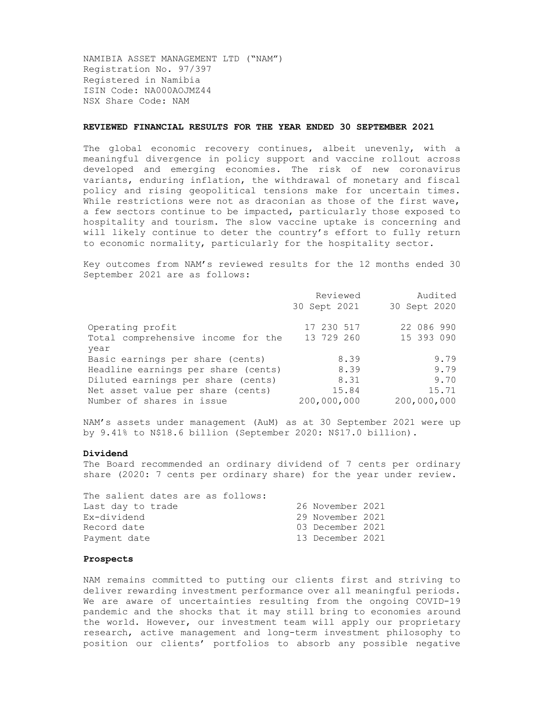NAMIBIA ASSET MANAGEMENT LTD ("NAM") Registration No. 97/397 Registered in Namibia ISIN Code: NA000AOJMZ44 NSX Share Code: NAM

### REVIEWED FINANCIAL RESULTS FOR THE YEAR ENDED 30 SEPTEMBER 2021

The global economic recovery continues, albeit unevenly, with a meaningful divergence in policy support and vaccine rollout across developed and emerging economies. The risk of new coronavirus variants, enduring inflation, the withdrawal of monetary and fiscal policy and rising geopolitical tensions make for uncertain times. While restrictions were not as draconian as those of the first wave, a few sectors continue to be impacted, particularly those exposed to hospitality and tourism. The slow vaccine uptake is concerning and will likely continue to deter the country's effort to fully return to economic normality, particularly for the hospitality sector.

Key outcomes from NAM's reviewed results for the 12 months ended 30 September 2021 are as follows:

|                                     | Reviewed     | Audited      |
|-------------------------------------|--------------|--------------|
|                                     | 30 Sept 2021 | 30 Sept 2020 |
| Operating profit                    | 17 230 517   | 22 086 990   |
| Total comprehensive income for the  | 13 729 260   | 15 393 090   |
| year                                |              |              |
| Basic earnings per share (cents)    | 8.39         | 9.79         |
| Headline earnings per share (cents) | 8.39         | 9.79         |
| Diluted earnings per share (cents)  | 8.31         | 9.70         |
| Net asset value per share (cents)   | 15.84        | 15.71        |
| Number of shares in issue           | 200,000,000  | 200,000,000  |

NAM's assets under management (AuM) as at 30 September 2021 were up by 9.41% to N\$18.6 billion (September 2020: N\$17.0 billion).

## Dividend

The Board recommended an ordinary dividend of 7 cents per ordinary share (2020: 7 cents per ordinary share) for the year under review.

The salient dates are as follows: Last day to trade 26 November 2021 Ex-dividend 29 November 2021 Record date 03 December 2021 Payment date 13 December 2021

# Prospects

NAM remains committed to putting our clients first and striving to deliver rewarding investment performance over all meaningful periods. We are aware of uncertainties resulting from the ongoing COVID-19 pandemic and the shocks that it may still bring to economies around the world. However, our investment team will apply our proprietary research, active management and long-term investment philosophy to position our clients' portfolios to absorb any possible negative